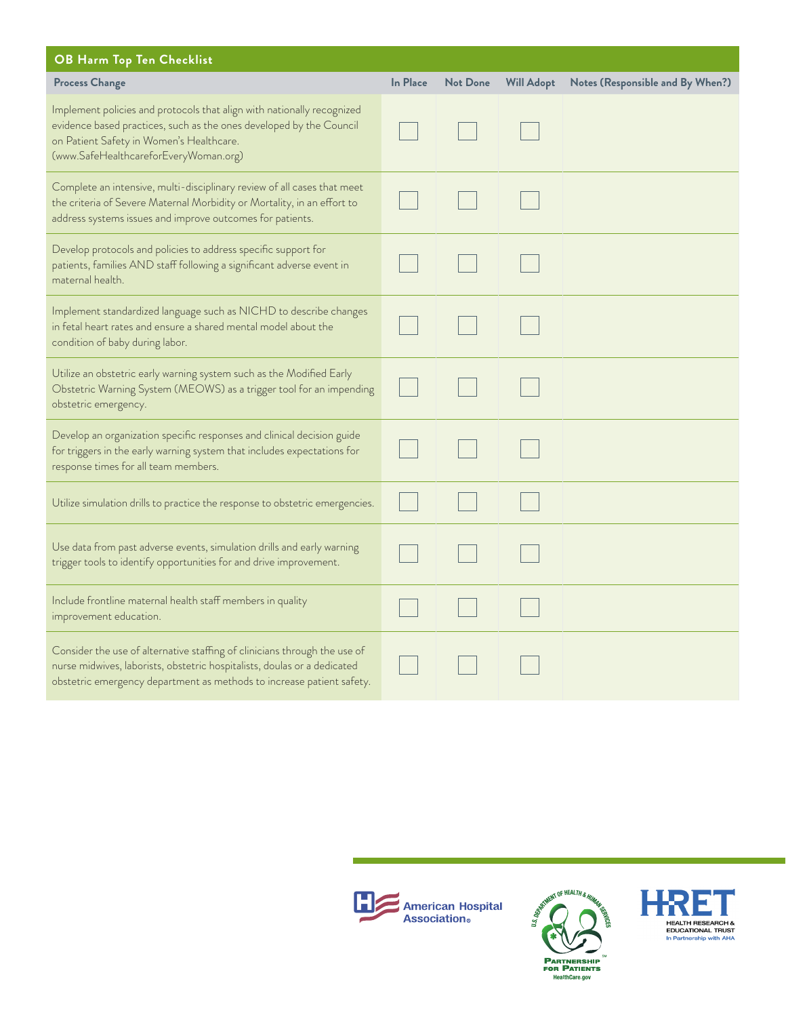| OB Harm Top Ten Checklist                                                                                                                                                                                                          |          |                 |                   |                                  |  |  |  |
|------------------------------------------------------------------------------------------------------------------------------------------------------------------------------------------------------------------------------------|----------|-----------------|-------------------|----------------------------------|--|--|--|
| <b>Process Change</b>                                                                                                                                                                                                              | In Place | <b>Not Done</b> | <b>Will Adopt</b> | Notes (Responsible and By When?) |  |  |  |
| Implement policies and protocols that align with nationally recognized<br>evidence based practices, such as the ones developed by the Council<br>on Patient Safety in Women's Healthcare.<br>(www.SafeHealthcareforEveryWoman.org) |          |                 |                   |                                  |  |  |  |
| Complete an intensive, multi-disciplinary review of all cases that meet<br>the criteria of Severe Maternal Morbidity or Mortality, in an effort to<br>address systems issues and improve outcomes for patients.                    |          |                 |                   |                                  |  |  |  |
| Develop protocols and policies to address specific support for<br>patients, families AND staff following a significant adverse event in<br>maternal health.                                                                        |          |                 |                   |                                  |  |  |  |
| Implement standardized language such as NICHD to describe changes<br>in fetal heart rates and ensure a shared mental model about the<br>condition of baby during labor.                                                            |          |                 |                   |                                  |  |  |  |
| Utilize an obstetric early warning system such as the Modified Early<br>Obstetric Warning System (MEOWS) as a trigger tool for an impending<br>obstetric emergency.                                                                |          |                 |                   |                                  |  |  |  |
| Develop an organization specific responses and clinical decision guide<br>for triggers in the early warning system that includes expectations for<br>response times for all team members.                                          |          |                 |                   |                                  |  |  |  |
| Utilize simulation drills to practice the response to obstetric emergencies.                                                                                                                                                       |          |                 |                   |                                  |  |  |  |
| Use data from past adverse events, simulation drills and early warning<br>trigger tools to identify opportunities for and drive improvement.                                                                                       |          |                 |                   |                                  |  |  |  |
| Include frontline maternal health staff members in quality<br>improvement education.                                                                                                                                               |          |                 |                   |                                  |  |  |  |
| Consider the use of alternative staffing of clinicians through the use of<br>nurse midwives, laborists, obstetric hospitalists, doulas or a dedicated<br>obstetric emergency department as methods to increase patient safety.     |          |                 |                   |                                  |  |  |  |





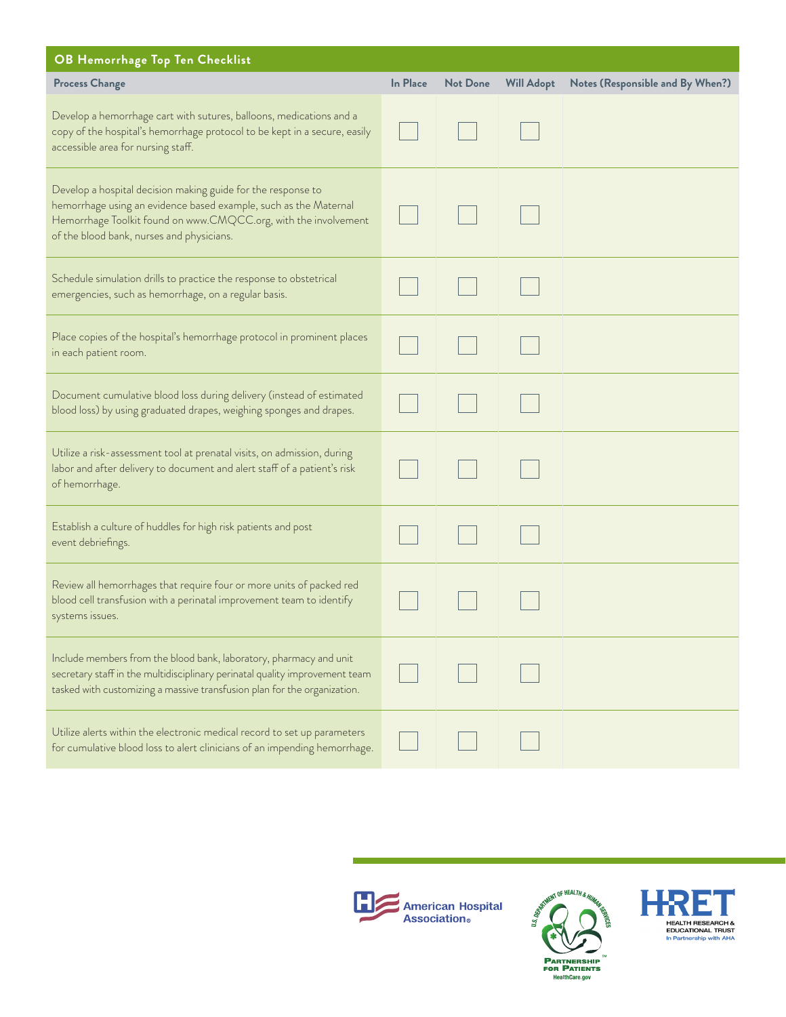| OB Hemorrhage Top Ten Checklist                                                                                                                                                                                                                  |          |                 |                   |                                  |
|--------------------------------------------------------------------------------------------------------------------------------------------------------------------------------------------------------------------------------------------------|----------|-----------------|-------------------|----------------------------------|
| <b>Process Change</b>                                                                                                                                                                                                                            | In Place | <b>Not Done</b> | <b>Will Adopt</b> | Notes (Responsible and By When?) |
| Develop a hemorrhage cart with sutures, balloons, medications and a<br>copy of the hospital's hemorrhage protocol to be kept in a secure, easily<br>accessible area for nursing staff.                                                           |          |                 |                   |                                  |
| Develop a hospital decision making guide for the response to<br>hemorrhage using an evidence based example, such as the Maternal<br>Hemorrhage Toolkit found on www.CMQCC.org, with the involvement<br>of the blood bank, nurses and physicians. |          |                 |                   |                                  |
| Schedule simulation drills to practice the response to obstetrical<br>emergencies, such as hemorrhage, on a regular basis.                                                                                                                       |          |                 |                   |                                  |
| Place copies of the hospital's hemorrhage protocol in prominent places<br>in each patient room.                                                                                                                                                  |          |                 |                   |                                  |
| Document cumulative blood loss during delivery (instead of estimated<br>blood loss) by using graduated drapes, weighing sponges and drapes.                                                                                                      |          |                 |                   |                                  |
| Utilize a risk-assessment tool at prenatal visits, on admission, during<br>labor and after delivery to document and alert staff of a patient's risk<br>of hemorrhage.                                                                            |          |                 |                   |                                  |
| Establish a culture of huddles for high risk patients and post<br>event debriefings.                                                                                                                                                             |          |                 |                   |                                  |
| Review all hemorrhages that require four or more units of packed red<br>blood cell transfusion with a perinatal improvement team to identify<br>systems issues.                                                                                  |          |                 |                   |                                  |
| Include members from the blood bank, laboratory, pharmacy and unit<br>secretary staff in the multidisciplinary perinatal quality improvement team<br>tasked with customizing a massive transfusion plan for the organization.                    |          |                 |                   |                                  |
| Utilize alerts within the electronic medical record to set up parameters<br>for cumulative blood loss to alert clinicians of an impending hemorrhage.                                                                                            |          |                 |                   |                                  |